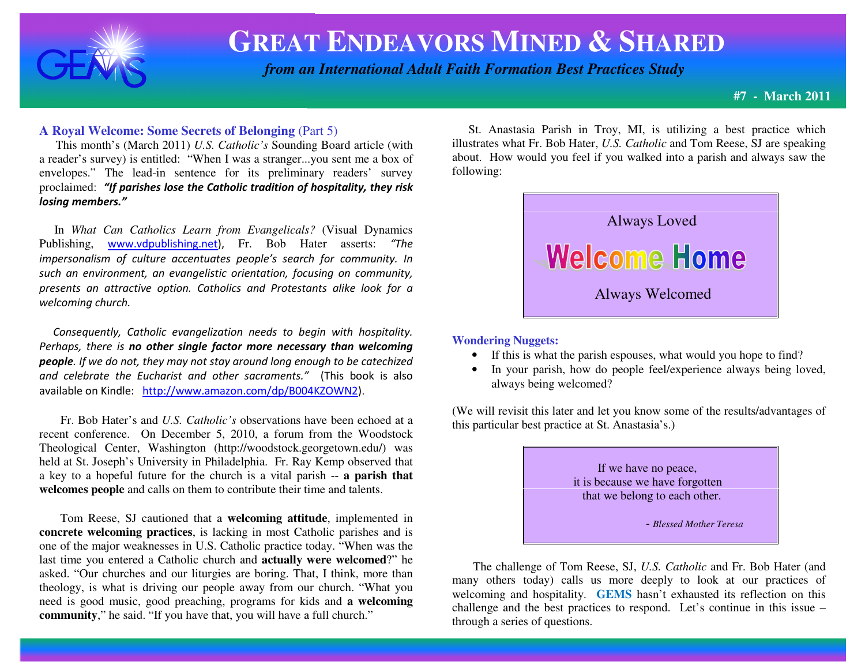

# **GREAT ENDEAVORS MINED & <sup>S</sup>HARED**

 *from an International Adult Faith Formation Best Practices Study*

**#7 - March 2011**

### **A Royal Welcome: Some Secrets of Belonging** (Part 5)

 This month's (March 2011) *U.S. Catholic's* Sounding Board article (with a reader's survey) is entitled: "When I was a stranger...you sent me a box of envelopes." The lead-in sentence for its preliminary readers' survey proclaimed: "If parishes lose the Catholic tradition of hospitality, they risk losing members."

 In *What Can Catholics Learn from Evangelicals?* (Visual Dynamics Publishing, www.vdpublishing.net), Fr. Bob Hater asserts: "The impersonalism of culture accentuates people's search for community. In such an environment, an evangelistic orientation, focusing on community, presents an attractive option. Catholics and Protestants alike look for a welcoming church.

 Consequently, Catholic evangelization needs to begin with hospitality. Perhaps, there is no other single factor more necessary than welcoming**people**. If we do not, they may not stay around long enough to be catechized and celebrate the Eucharist and other sacraments." (This book is also available on Kindle: http://www.amazon.com/dp/B004KZOWN2).

 Fr. Bob Hater's and *U.S. Catholic's* observations have been echoed at a recent conference. On December 5, 2010, a forum from the Woodstock Theological Center, Washington (http://woodstock.georgetown.edu/) was held at St. Joseph's University in Philadelphia. Fr. Ray Kemp observed that a key to a hopeful future for the church is a vital parish -- **a parish thatwelcomes people** and calls on them to contribute their time and talents.

 Tom Reese, SJ cautioned that a **welcoming attitude**, implemented in **concrete welcoming practices**, is lacking in most Catholic parishes and is one of the major weaknesses in U.S. Catholic practice today. "When was the last time you entered a Catholic church and **actually were welcomed**?" he asked. "Our churches and our liturgies are boring. That, I think, more than theology, is what is driving our people away from our church. "What you need is good music, good preaching, programs for kids and **a welcomingcommunity**," he said. "If you have that, you will have a full church."

St. Anastasia Parish in Troy, MI, is utilizing a best practice which illustrates what Fr. Bob Hater, *U.S. Catholic* and Tom Reese, SJ are speaking about. How would you feel if you walked into a parish and always saw the following:



**Wondering Nuggets:** 

- If this is what the parish espouses, what would you hope to find?
- In your parish, how do people feel/experience always being loved, always being welcomed?

(We will revisit this later and let you know some of the results/advantages of this particular best practice at St. Anastasia's.)

> If we have no peace, it is because we have forgotten that we belong to each other.

> > - *Blessed Mother Teresa*

 The challenge of Tom Reese, SJ, *U.S. Catholic* and Fr. Bob Hater (and many others today) calls us more deeply to look at our practices of welcoming and hospitality. **GEMS** hasn't exhausted its reflection on this challenge and the best practices to respond. Let's continue in this issue – through a series of questions.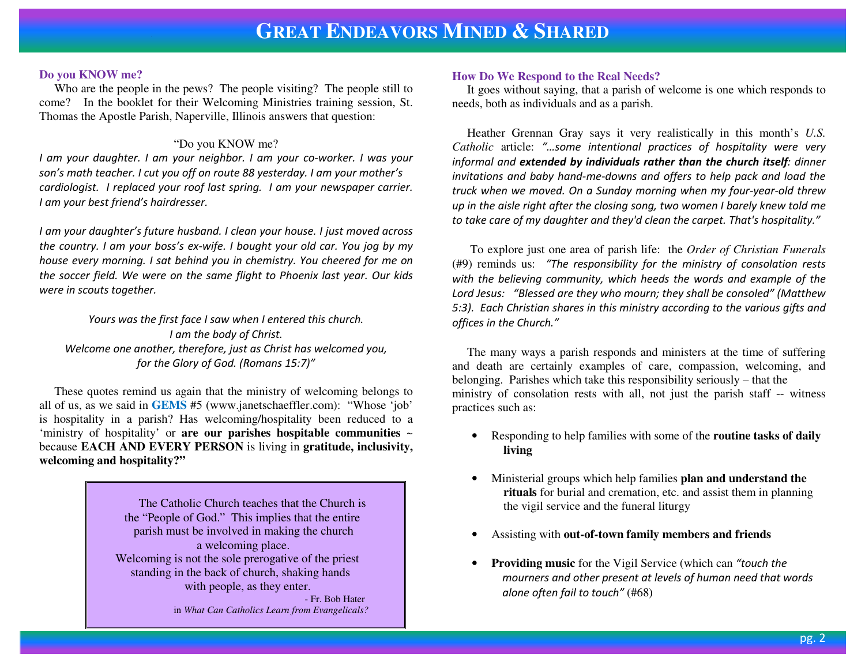#### **Do you KNOW me?**

 Who are the people in the pews? The people visiting? The people still to come? In the booklet for their Welcoming Ministries training session, St. Thomas the Apostle Parish, Naperville, Illinois answers that question:

### "Do you KNOW me?

 I am your daughter. I am your neighbor. I am your co-worker. I was your son's math teacher. I cut you off on route 88 yesterday. I am your mother's cardiologist. I replaced your roof last spring. I am your newspaper carrier. I am your best friend's hairdresser.

I am your daughter's future husband. I clean your house. I just moved across the country. I am your boss's ex-wife. I bought your old car. You jog by my house every morning. I sat behind you in chemistry. You cheered for me on the soccer field. We were on the same flight to Phoenix last year. Our kids were in scouts together.

Yours was the first face I saw when I entered this church. I am the body of Christ. Welcome one another, therefore, just as Christ has welcomed you, for the Glory of God. (Romans 15:7)"

 These quotes remind us again that the ministry of welcoming belongs to all of us, as we said in **GEMS** #5 (www.janetschaeffler.com): "Whose 'job' is hospitality in a parish? Has welcoming/hospitality been reduced to a 'ministry of hospitality' or **are our parishes hospitable communities** <sup>~</sup> because **EACH AND EVERY PERSON** is living in **gratitude, inclusivity, welcoming and hospitality?"** 

> The Catholic Church teaches that the Church is the "People of God." This implies that the entire parish must be involved in making the church a welcoming place. Welcoming is not the sole prerogative of the priest standing in the back of church, shaking hands with people, as they enter. **- Fr. Bob Hater**

in *What Can Catholics Learn from Evangelicals?* 

### **How Do We Respond to the Real Needs?**

 It goes without saying, that a parish of welcome is one which responds to needs, both as individuals and as a parish.

 Heather Grennan Gray says it very realistically in this month's *U.S. Catholic* article: "…some intentional practices of hospitality were very informal and extended by individuals rather than the church itself: dinner invitations and baby hand-me-downs and offers to help pack and load the truck when we moved. On a Sunday morning when my four-year-old threw up in the aisle right after the closing song, two women I barely knew told me to take care of my daughter and they'd clean the carpet. That's hospitality."

 To explore just one area of parish life: the *Order of Christian Funerals* (#9) reminds us: "The responsibility for the ministry of consolation rests with the believing community, which heeds the words and example of the Lord Jesus: "Blessed are they who mourn; they shall be consoled" (Matthew 5:3). Each Christian shares in this ministry according to the various gifts and offices in the Church."

 The many ways a parish responds and ministers at the time of suffering and death are certainly examples of care, compassion, welcoming, and belonging. Parishes which take this responsibility seriously – that the ministry of consolation rests with all, not just the parish staff -- witness practices such as:

- Responding to help families with some of the **routine tasks of daily living**
- Ministerial groups which help families **plan and understand the rituals** for burial and cremation, etc. and assist them in planning the vigil service and the funeral liturgy
- •Assisting with **out-of-town family members and friends**
- • **Providing music** for the Vigil Service (which can "touch the mourners and other present at levels of human need that words alone often fail to touch" (#68)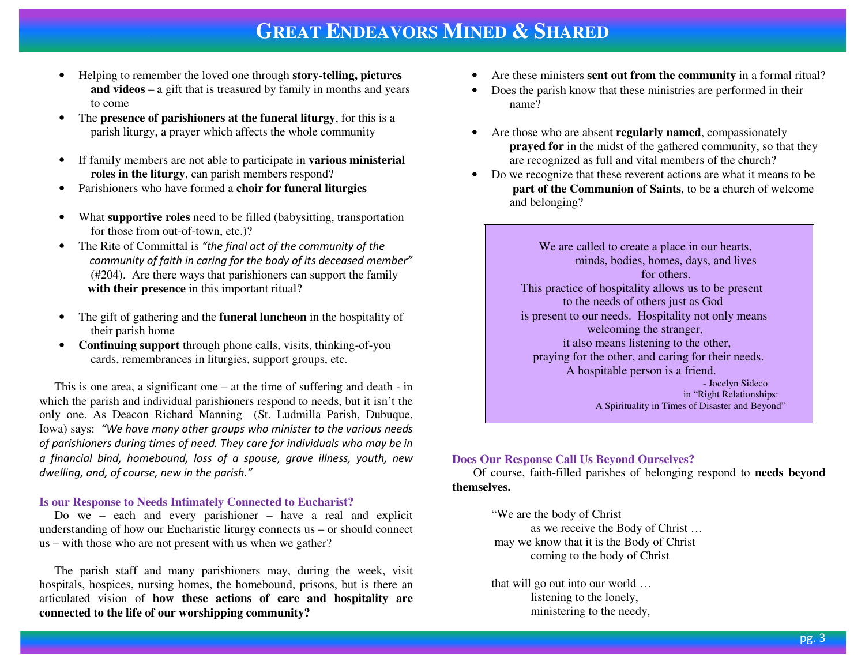# **GREAT ENDEAVORS MINED & <sup>S</sup>HARED**

- Helping to remember the loved one through **story-telling, pictures and videos** – a gift that is treasured by family in months and years to come
- The **presence of parishioners at the funeral liturgy**, for this is a parish liturgy, a prayer which affects the whole community
- If family members are not able to participate in **various ministerial roles in the liturgy**, can parish members respond?
- Parishioners who have formed a **choir for funeral liturgies** •
- What **supportive roles** need to be filled (babysitting, transportation for those from out-of-town, etc.)?
- The Rite of Committal is "the final act of the community of the community of faith in caring for the body of its deceased member" (#204). Are there ways that parishioners can support the family **with their presence** in this important ritual?
- The gift of gathering and the **funeral luncheon** in the hospitality of their parish home
- **Continuing support** through phone calls, visits, thinking-of-you cards, remembrances in liturgies, support groups, etc.

 This is one area, a significant one – at the time of suffering and death - in which the parish and individual parishioners respond to needs, but it isn't the only one. As Deacon Richard Manning (St. Ludmilla Parish, Dubuque, Iowa) says: "We have many other groups who minister to the various needs of parishioners during times of need. They care for individuals who may be in a financial bind, homebound, loss of a spouse, grave illness, youth, new dwelling, and, of course, new in the parish."

#### **Is our Response to Needs Intimately Connected to Eucharist?**

 Do we – each and every parishioner – have a real and explicit understanding of how our Eucharistic liturgy connects us – or should connect us – with those who are not present with us when we gather?

 The parish staff and many parishioners may, during the week, visit hospitals, hospices, nursing homes, the homebound, prisons, but is there an articulated vision of **how these actions of care and hospitality are connected to the life of our worshipping community?**

- •Are these ministers **sent out from the community** in a formal ritual?
- • Does the parish know that these ministries are performed in their name?
- Are those who are absent **regularly named**, compassionately **prayed for** in the midst of the gathered community, so that they are recognized as full and vital members of the church?
- Do we recognize that these reverent actions are what it means to be  **part of the Communion of Saints**, to be a church of welcome and belonging?

 We are called to create a place in our hearts, minds, bodies, homes, days, and lives for others. This practice of hospitality allows us to be present to the needs of others just as God is present to our needs. Hospitality not only means welcoming the stranger, **it also means listening to the other,**  praying for the other, and caring for their needs. A hospitable person is a friend. - Jocelyn Sideco **in "Right Relationships:** A Spirituality in Times of Disaster and Beyond"

### **Does Our Response Call Us Beyond Ourselves?**

 Of course, faith-filled parishes of belonging respond to **needs beyond themselves.** 

"We are the body of Christ as we receive the Body of Christ … may we know that it is the Body of Christ coming to the body of Christ

that will go out into our world … listening to the lonely, ministering to the needy,